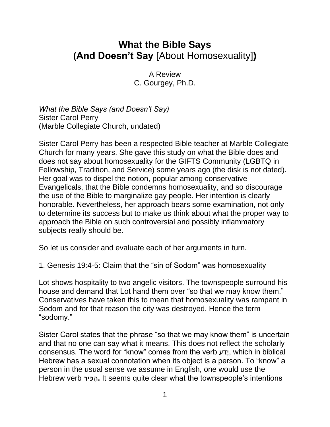# **What the Bible Says (And Doesn't Say** [About Homosexuality]**)**

A Review C. Gourgey, Ph.D.

*What the Bible Says (and Doesn't Say)* Sister Carol Perry (Marble Collegiate Church, undated)

Sister Carol Perry has been a respected Bible teacher at Marble Collegiate Church for many years. She gave this study on what the Bible does and does not say about homosexuality for the GIFTS Community (LGBTQ in Fellowship, Tradition, and Service) some years ago (the disk is not dated). Her goal was to dispel the notion, popular among conservative Evangelicals, that the Bible condemns homosexuality, and so discourage the use of the Bible to marginalize gay people. Her intention is clearly honorable. Nevertheless, her approach bears some examination, not only to determine its success but to make us think about what the proper way to approach the Bible on such controversial and possibly inflammatory subjects really should be.

So let us consider and evaluate each of her arguments in turn.

## 1. Genesis 19:4-5: Claim that the "sin of Sodom" was homosexuality

Lot shows hospitality to two angelic visitors. The townspeople surround his house and demand that Lot hand them over "so that we may know them." Conservatives have taken this to mean that homosexuality was rampant in Sodom and for that reason the city was destroyed. Hence the term "sodomy."

Sister Carol states that the phrase "so that we may know them" is uncertain and that no one can say what it means. This does not reflect the scholarly consensus. The word for "know" comes from the verb ע ַדָ י, which in biblical Hebrew has a sexual connotation when its object is a person. To "know" a person in the usual sense we assume in English, one would use the Hebrew verb **יר כ** ה**.** It seems quite clear what the townspeople's intentions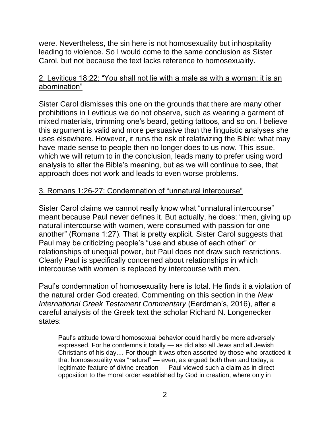were. Nevertheless, the sin here is not homosexuality but inhospitality leading to violence. So I would come to the same conclusion as Sister Carol, but not because the text lacks reference to homosexuality.

### 2. Leviticus 18:22: "You shall not lie with a male as with a woman; it is an abomination"

Sister Carol dismisses this one on the grounds that there are many other prohibitions in Leviticus we do not observe, such as wearing a garment of mixed materials, trimming one's beard, getting tattoos, and so on. I believe this argument is valid and more persuasive than the linguistic analyses she uses elsewhere. However, it runs the risk of relativizing the Bible: what may have made sense to people then no longer does to us now. This issue, which we will return to in the conclusion, leads many to prefer using word analysis to alter the Bible's meaning, but as we will continue to see, that approach does not work and leads to even worse problems.

#### 3. Romans 1:26-27: Condemnation of "unnatural intercourse"

Sister Carol claims we cannot really know what "unnatural intercourse" meant because Paul never defines it. But actually, he does: "men, giving up natural intercourse with women, were consumed with passion for one another" (Romans 1:27). That is pretty explicit. Sister Carol suggests that Paul may be criticizing people's "use and abuse of each other" or relationships of unequal power, but Paul does not draw such restrictions. Clearly Paul is specifically concerned about relationships in which intercourse with women is replaced by intercourse with men.

Paul's condemnation of homosexuality here is total. He finds it a violation of the natural order God created. Commenting on this section in the *New International Greek Testament Commentary* (Eerdman's, 2016), after a careful analysis of the Greek text the scholar Richard N. Longenecker states:

Paul's attitude toward homosexual behavior could hardly be more adversely expressed. For he condemns it totally — as did also all Jews and all Jewish Christians of his day.... For though it was often asserted by those who practiced it that homosexuality was "natural" — even, as argued both then and today, a legitimate feature of divine creation — Paul viewed such a claim as in direct opposition to the moral order established by God in creation, where only in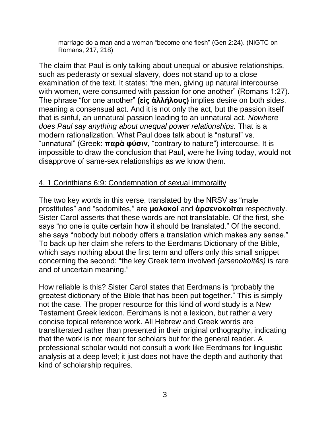marriage do a man and a woman "become one flesh" (Gen 2:24). (NIGTC on Romans, 217, 218)

The claim that Paul is only talking about unequal or abusive relationships, such as pederasty or sexual slavery, does not stand up to a close examination of the text. It states: "the men, giving up natural intercourse with women, were consumed with passion for one another" (Romans 1:27). The phrase "for one another" **(εἰς ἀλλήλους)** implies desire on both sides, meaning a consensual act. And it is not only the act, but the passion itself that is sinful, an unnatural passion leading to an unnatural act. *Nowhere does Paul say anything about unequal power relationships.* That is a modern rationalization. What Paul does talk about is "natural" vs. "unnatural" (Greek: **παρὰ φύσιν,** "contrary to nature") intercourse. It is impossible to draw the conclusion that Paul, were he living today, would not disapprove of same-sex relationships as we know them.

#### 4. 1 Corinthians 6:9: Condemnation of sexual immorality

The two key words in this verse, translated by the NRSV as "male prostitutes" and "sodomites," are **μαλακοί** and **ἀρσενοκοῖται** respectively. Sister Carol asserts that these words are not translatable. Of the first, she says "no one is quite certain how it should be translated." Of the second, she says "nobody but nobody offers a translation which makes any sense." To back up her claim she refers to the Eerdmans Dictionary of the Bible, which says nothing about the first term and offers only this small snippet concerning the second: "the key Greek term involved *(arsenokoítēs)* is rare and of uncertain meaning."

How reliable is this? Sister Carol states that Eerdmans is "probably the greatest dictionary of the Bible that has been put together." This is simply not the case. The proper resource for this kind of word study is a New Testament Greek lexicon. Eerdmans is not a lexicon, but rather a very concise topical reference work. All Hebrew and Greek words are transliterated rather than presented in their original orthography, indicating that the work is not meant for scholars but for the general reader. A professional scholar would not consult a work like Eerdmans for linguistic analysis at a deep level; it just does not have the depth and authority that kind of scholarship requires.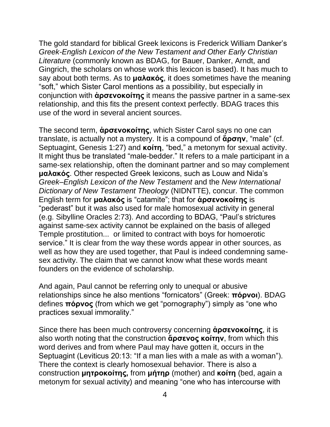The gold standard for biblical Greek lexicons is Frederick William Danker's *Greek-English Lexicon of the New Testament and Other Early Christian Literature* (commonly known as BDAG, for Bauer, Danker, Arndt, and Gingrich, the scholars on whose work this lexicon is based). It has much to say about both terms. As to **μαλακός**, it does sometimes have the meaning "soft," which Sister Carol mentions as a possibility, but especially in conjunction with **ἀρσενοκοίτης** it means the passive partner in a same-sex relationship, and this fits the present context perfectly. BDAG traces this use of the word in several ancient sources.

The second term, **ἀρσενοκοίτης**, which Sister Carol says no one can translate, is actually not a mystery. It is a compound of **ἄρσην**, "male" (cf. Septuagint, Genesis 1:27) and **κοίτη**, "bed," a metonym for sexual activity. It might thus be translated "male-bedder." It refers to a male participant in a same-sex relationship, often the dominant partner and so may complement **μαλακός**. Other respected Greek lexicons, such as Louw and Nida's *Greek–English Lexicon of the New Testament* and the *New International Dictionary of New Testament Theology* (NIDNTTE), concur. The common English term for **μαλακός** is "catamite"; that for **ἀρσενοκοίτης** is "pederast" but it was also used for male homosexual activity in general (e.g. Sibylline Oracles 2:73). And according to BDAG, "Paul's strictures against same-sex activity cannot be explained on the basis of alleged Temple prostitution... or limited to contract with boys for homoerotic service." It is clear from the way these words appear in other sources, as well as how they are used together, that Paul is indeed condemning samesex activity. The claim that we cannot know what these words meant founders on the evidence of scholarship.

And again, Paul cannot be referring only to unequal or abusive relationships since he also mentions "fornicators" (Greek: **πόρνοι**). BDAG defines **πόρνος** (from which we get "pornography") simply as "one who practices sexual immorality."

Since there has been much controversy concerning **ἀρσενοκοίτης**, it is also worth noting that the construction **ἄρσενος κοίτην**, from which this word derives and from where Paul may have gotten it, occurs in the Septuagint (Leviticus 20:13: "If a man lies with a male as with a woman"). There the context is clearly homosexual behavior. There is also a construction **μητροκοίτης,** from **μήτηρ** (mother) and **κοίτη** (bed, again a metonym for sexual activity) and meaning "one who has intercourse with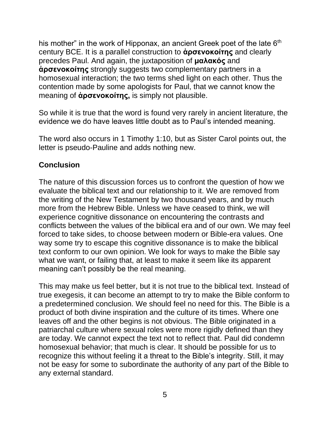his mother" in the work of Hipponax, an ancient Greek poet of the late  $6<sup>th</sup>$ century BCE. It is a parallel construction to **ἀρσενοκοίτης** and clearly precedes Paul. And again, the juxtaposition of **μαλακός** and **ἀρσενοκοίτης** strongly suggests two complementary partners in a homosexual interaction; the two terms shed light on each other. Thus the contention made by some apologists for Paul, that we cannot know the meaning of **ἀρσενοκοίτης,** is simply not plausible.

So while it is true that the word is found very rarely in ancient literature, the evidence we do have leaves little doubt as to Paul's intended meaning.

The word also occurs in 1 Timothy 1:10, but as Sister Carol points out, the letter is pseudo-Pauline and adds nothing new.

## **Conclusion**

The nature of this discussion forces us to confront the question of how we evaluate the biblical text and our relationship to it. We are removed from the writing of the New Testament by two thousand years, and by much more from the Hebrew Bible. Unless we have ceased to think, we will experience cognitive dissonance on encountering the contrasts and conflicts between the values of the biblical era and of our own. We may feel forced to take sides, to choose between modern or Bible-era values. One way some try to escape this cognitive dissonance is to make the biblical text conform to our own opinion. We look for ways to make the Bible say what we want, or failing that, at least to make it seem like its apparent meaning can't possibly be the real meaning.

This may make us feel better, but it is not true to the biblical text. Instead of true exegesis, it can become an attempt to try to make the Bible conform to a predetermined conclusion. We should feel no need for this. The Bible is a product of both divine inspiration and the culture of its times. Where one leaves off and the other begins is not obvious. The Bible originated in a patriarchal culture where sexual roles were more rigidly defined than they are today. We cannot expect the text not to reflect that. Paul did condemn homosexual behavior; that much is clear. It should be possible for us to recognize this without feeling it a threat to the Bible's integrity. Still, it may not be easy for some to subordinate the authority of any part of the Bible to any external standard.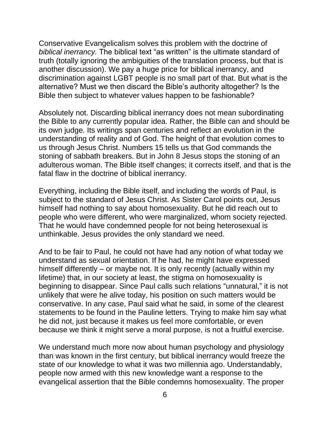Conservative Evangelicalism solves this problem with the doctrine of *biblical inerrancy.* The biblical text "as written" is the ultimate standard of truth (totally ignoring the ambiguities of the translation process, but that is another discussion). We pay a huge price for biblical inerrancy, and discrimination against LGBT people is no small part of that. But what is the alternative? Must we then discard the Bible's authority altogether? Is the Bible then subject to whatever values happen to be fashionable?

Absolutely not. Discarding biblical inerrancy does not mean subordinating the Bible to any currently popular idea. Rather, the Bible can and should be its own judge. Its writings span centuries and reflect an evolution in the understanding of reality and of God. The height of that evolution comes to us through Jesus Christ. Numbers 15 tells us that God commands the stoning of sabbath breakers. But in John 8 Jesus stops the stoning of an adulterous woman. The Bible itself changes; it corrects itself, and that is the fatal flaw in the doctrine of biblical inerrancy.

Everything, including the Bible itself, and including the words of Paul, is subject to the standard of Jesus Christ. As Sister Carol points out, Jesus himself had nothing to say about homosexuality. But he did reach out to people who were different, who were marginalized, whom society rejected. That he would have condemned people for not being heterosexual is unthinkable. Jesus provides the only standard we need.

And to be fair to Paul, he could not have had any notion of what today we understand as sexual orientation. If he had, he might have expressed himself differently – or maybe not. It is only recently (actually within my lifetime) that, in our society at least, the stigma on homosexuality is beginning to disappear. Since Paul calls such relations "unnatural," it is not unlikely that were he alive today, his position on such matters would be conservative. In any case, Paul said what he said, in some of the clearest statements to be found in the Pauline letters. Trying to make him say what he did not, just because it makes us feel more comfortable, or even because we think it might serve a moral purpose, is not a fruitful exercise.

We understand much more now about human psychology and physiology than was known in the first century, but biblical inerrancy would freeze the state of our knowledge to what it was two millennia ago. Understandably, people now armed with this new knowledge want a response to the evangelical assertion that the Bible condemns homosexuality. The proper